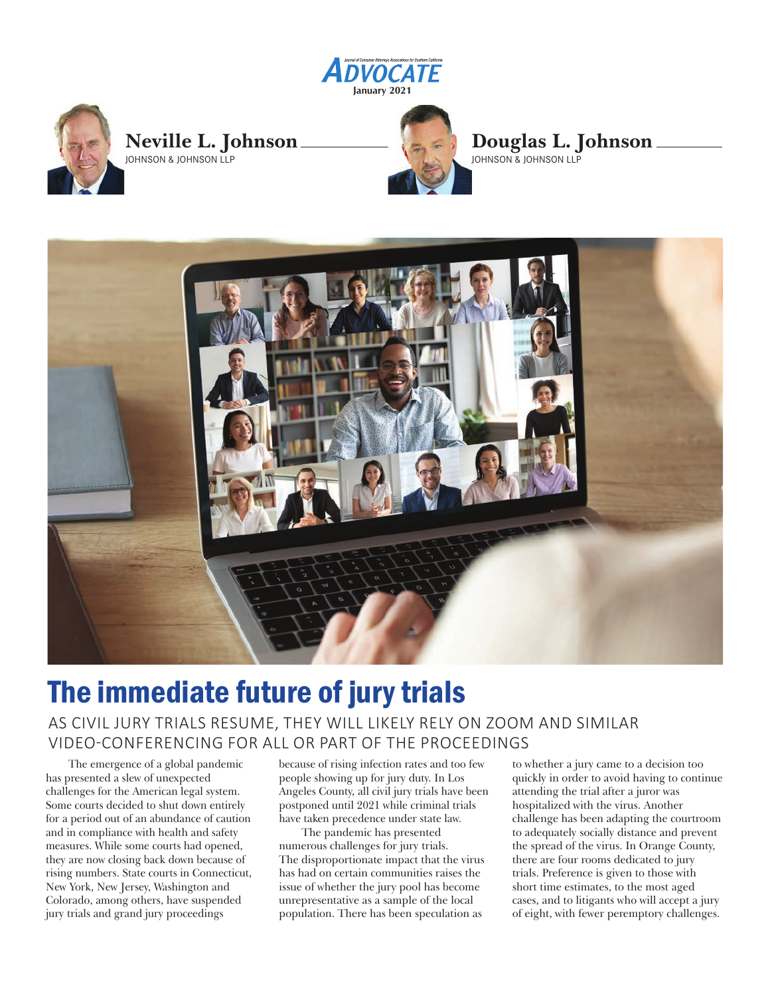



## **Neville L. Johnson** JOHNSON & JOHNSON LLP



**Douglas L. Johnson** JOHNSON & JOHNSON LLP



# The immediate future of jury trials

# AS CIVIL JURY TRIALS RESUME, THEY WILL LIKELY RELY ON ZOOM AND SIMILAR VIDEO-CONFERENCING FOR ALL OR PART OF THE PROCEEDINGS

The emergence of a global pandemic has presented a slew of unexpected challenges for the American legal system. Some courts decided to shut down entirely for a period out of an abundance of caution and in compliance with health and safety measures. While some courts had opened, they are now closing back down because of rising numbers. State courts in Connecticut, New York, New Jersey, Washington and Colorado, among others, have suspended jury trials and grand jury proceedings

because of rising infection rates and too few people showing up for jury duty. In Los Angeles County, all civil jury trials have been postponed until 2021 while criminal trials have taken precedence under state law.

The pandemic has presented numerous challenges for jury trials. The disproportionate impact that the virus has had on certain communities raises the issue of whether the jury pool has become unrepresentative as a sample of the local population. There has been speculation as

to whether a jury came to a decision too quickly in order to avoid having to continue attending the trial after a juror was hospitalized with the virus. Another challenge has been adapting the courtroom to adequately socially distance and prevent the spread of the virus. In Orange County, there are four rooms dedicated to jury trials. Preference is given to those with short time estimates, to the most aged cases, and to litigants who will accept a jury of eight, with fewer peremptory challenges.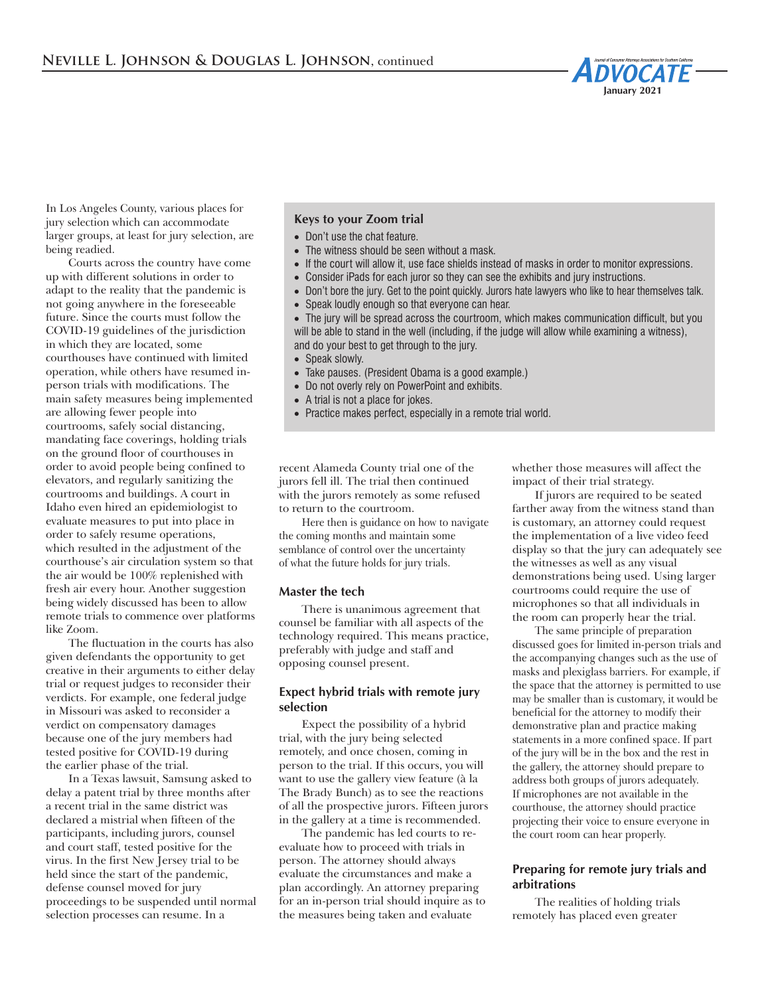

In Los Angeles County, various places for jury selection which can accommodate larger groups, at least for jury selection, are being readied.

Courts across the country have come up with different solutions in order to adapt to the reality that the pandemic is not going anywhere in the foreseeable future. Since the courts must follow the COVID-19 guidelines of the jurisdiction in which they are located, some courthouses have continued with limited operation, while others have resumed inperson trials with modifications. The main safety measures being implemented are allowing fewer people into courtrooms, safely social distancing, mandating face coverings, holding trials on the ground floor of courthouses in order to avoid people being confined to elevators, and regularly sanitizing the courtrooms and buildings. A court in Idaho even hired an epidemiologist to evaluate measures to put into place in order to safely resume operations, which resulted in the adjustment of the courthouse's air circulation system so that the air would be 100% replenished with fresh air every hour. Another suggestion being widely discussed has been to allow remote trials to commence over platforms like Zoom.

The fluctuation in the courts has also given defendants the opportunity to get creative in their arguments to either delay trial or request judges to reconsider their verdicts. For example, one federal judge in Missouri was asked to reconsider a verdict on compensatory damages because one of the jury members had tested positive for COVID-19 during the earlier phase of the trial.

In a Texas lawsuit, Samsung asked to delay a patent trial by three months after a recent trial in the same district was declared a mistrial when fifteen of the participants, including jurors, counsel and court staff, tested positive for the virus. In the first New Jersey trial to be held since the start of the pandemic, defense counsel moved for jury proceedings to be suspended until normal selection processes can resume. In a

## **Keys to your Zoom trial**

- Don't use the chat feature.
- The witness should be seen without a mask.
- If the court will allow it, use face shields instead of masks in order to monitor expressions.
- Consider iPads for each juror so they can see the exhibits and jury instructions.
- Don't bore the jury. Get to the point quickly. Jurors hate lawyers who like to hear themselves talk.
- Speak loudly enough so that everyone can hear.

• The jury will be spread across the courtroom, which makes communication difficult, but you will be able to stand in the well (including, if the judge will allow while examining a witness), and do your best to get through to the jury.

- Speak slowly.
- Take pauses. (President Obama is a good example.)
- Do not overly rely on PowerPoint and exhibits.
- A trial is not a place for jokes.
- Practice makes perfect, especially in a remote trial world.

recent Alameda County trial one of the jurors fell ill. The trial then continued with the jurors remotely as some refused to return to the courtroom.

Here then is guidance on how to navigate the coming months and maintain some semblance of control over the uncertainty of what the future holds for jury trials.

#### **Master the tech**

There is unanimous agreement that counsel be familiar with all aspects of the technology required. This means practice, preferably with judge and staff and opposing counsel present.

### **Expect hybrid trials with remote jury selection**

Expect the possibility of a hybrid trial, with the jury being selected remotely, and once chosen, coming in person to the trial. If this occurs, you will want to use the gallery view feature (à la The Brady Bunch) as to see the reactions of all the prospective jurors. Fifteen jurors in the gallery at a time is recommended.

The pandemic has led courts to reevaluate how to proceed with trials in person. The attorney should always evaluate the circumstances and make a plan accordingly. An attorney preparing for an in-person trial should inquire as to the measures being taken and evaluate

whether those measures will affect the impact of their trial strategy.

If jurors are required to be seated farther away from the witness stand than is customary, an attorney could request the implementation of a live video feed display so that the jury can adequately see the witnesses as well as any visual demonstrations being used. Using larger courtrooms could require the use of microphones so that all individuals in the room can properly hear the trial.

The same principle of preparation discussed goes for limited in-person trials and the accompanying changes such as the use of masks and plexiglass barriers. For example, if the space that the attorney is permitted to use may be smaller than is customary, it would be beneficial for the attorney to modify their demonstrative plan and practice making statements in a more confined space. If part of the jury will be in the box and the rest in the gallery, the attorney should prepare to address both groups of jurors adequately. If microphones are not available in the courthouse, the attorney should practice projecting their voice to ensure everyone in the court room can hear properly.

#### **Preparing for remote jury trials and arbitrations**

The realities of holding trials remotely has placed even greater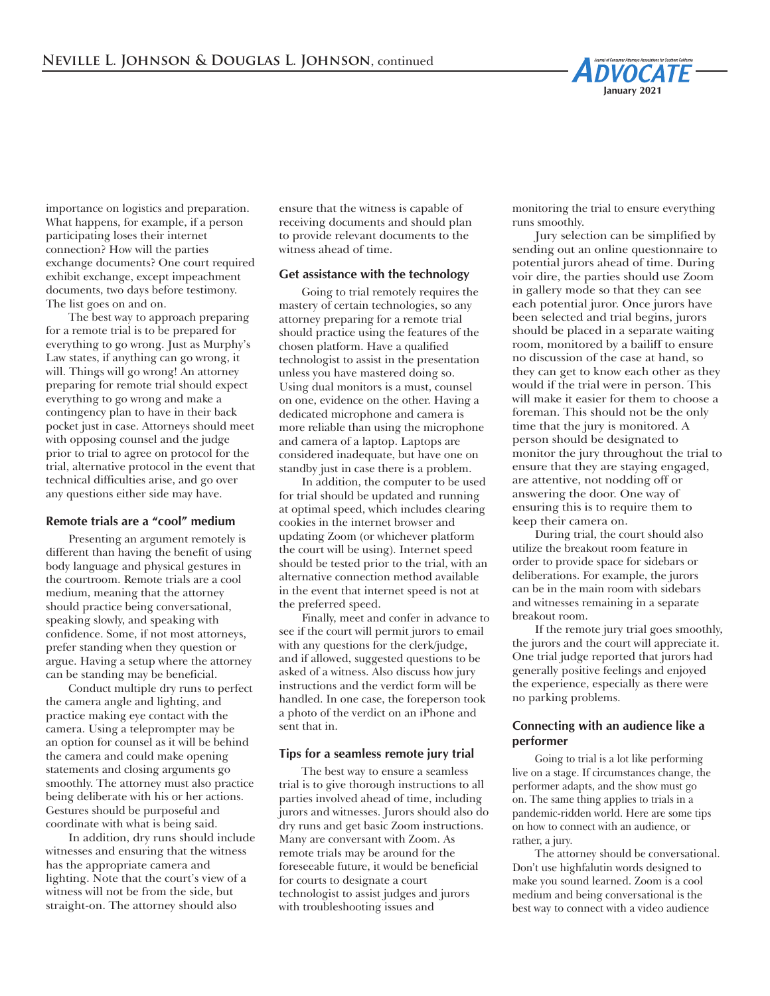

importance on logistics and preparation. What happens, for example, if a person participating loses their internet connection? How will the parties exchange documents? One court required exhibit exchange, except impeachment documents, two days before testimony. The list goes on and on.

The best way to approach preparing for a remote trial is to be prepared for everything to go wrong. Just as Murphy's Law states, if anything can go wrong, it will. Things will go wrong! An attorney preparing for remote trial should expect everything to go wrong and make a contingency plan to have in their back pocket just in case. Attorneys should meet with opposing counsel and the judge prior to trial to agree on protocol for the trial, alternative protocol in the event that technical difficulties arise, and go over any questions either side may have.

#### **Remote trials are a "cool" medium**

Presenting an argument remotely is different than having the benefit of using body language and physical gestures in the courtroom. Remote trials are a cool medium, meaning that the attorney should practice being conversational, speaking slowly, and speaking with confidence. Some, if not most attorneys, prefer standing when they question or argue. Having a setup where the attorney can be standing may be beneficial.

Conduct multiple dry runs to perfect the camera angle and lighting, and practice making eye contact with the camera. Using a teleprompter may be an option for counsel as it will be behind the camera and could make opening statements and closing arguments go smoothly. The attorney must also practice being deliberate with his or her actions. Gestures should be purposeful and coordinate with what is being said.

In addition, dry runs should include witnesses and ensuring that the witness has the appropriate camera and lighting. Note that the court's view of a witness will not be from the side, but straight-on. The attorney should also

ensure that the witness is capable of receiving documents and should plan to provide relevant documents to the witness ahead of time.

#### **Get assistance with the technology**

Going to trial remotely requires the mastery of certain technologies, so any attorney preparing for a remote trial should practice using the features of the chosen platform. Have a qualified technologist to assist in the presentation unless you have mastered doing so. Using dual monitors is a must, counsel on one, evidence on the other. Having a dedicated microphone and camera is more reliable than using the microphone and camera of a laptop. Laptops are considered inadequate, but have one on standby just in case there is a problem.

In addition, the computer to be used for trial should be updated and running at optimal speed, which includes clearing cookies in the internet browser and updating Zoom (or whichever platform the court will be using). Internet speed should be tested prior to the trial, with an alternative connection method available in the event that internet speed is not at the preferred speed.

Finally, meet and confer in advance to see if the court will permit jurors to email with any questions for the clerk/judge, and if allowed, suggested questions to be asked of a witness. Also discuss how jury instructions and the verdict form will be handled. In one case, the foreperson took a photo of the verdict on an iPhone and sent that in.

#### **Tips for a seamless remote jury trial**

The best way to ensure a seamless trial is to give thorough instructions to all parties involved ahead of time, including jurors and witnesses. Jurors should also do dry runs and get basic Zoom instructions. Many are conversant with Zoom. As remote trials may be around for the foreseeable future, it would be beneficial for courts to designate a court technologist to assist judges and jurors with troubleshooting issues and

monitoring the trial to ensure everything runs smoothly.

Jury selection can be simplified by sending out an online questionnaire to potential jurors ahead of time. During voir dire, the parties should use Zoom in gallery mode so that they can see each potential juror. Once jurors have been selected and trial begins, jurors should be placed in a separate waiting room, monitored by a bailiff to ensure no discussion of the case at hand, so they can get to know each other as they would if the trial were in person. This will make it easier for them to choose a foreman. This should not be the only time that the jury is monitored. A person should be designated to monitor the jury throughout the trial to ensure that they are staying engaged, are attentive, not nodding off or answering the door. One way of ensuring this is to require them to keep their camera on.

During trial, the court should also utilize the breakout room feature in order to provide space for sidebars or deliberations. For example, the jurors can be in the main room with sidebars and witnesses remaining in a separate breakout room.

If the remote jury trial goes smoothly, the jurors and the court will appreciate it. One trial judge reported that jurors had generally positive feelings and enjoyed the experience, especially as there were no parking problems.

#### **Connecting with an audience like a performer**

Going to trial is a lot like performing live on a stage. If circumstances change, the performer adapts, and the show must go on. The same thing applies to trials in a pandemic-ridden world. Here are some tips on how to connect with an audience, or rather, a jury.

The attorney should be conversational. Don't use highfalutin words designed to make you sound learned. Zoom is a cool medium and being conversational is the best way to connect with a video audience